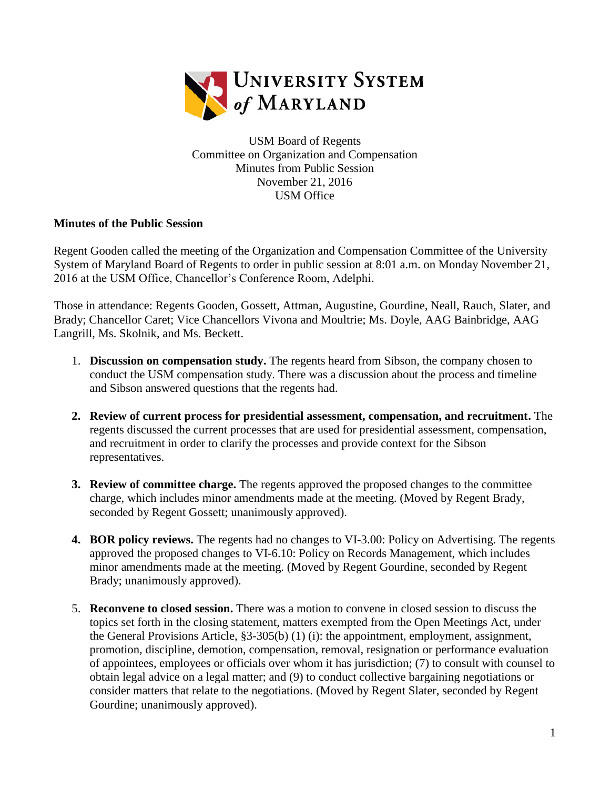

USM Board of Regents Committee on Organization and Compensation Minutes from Public Session November 21, 2016 USM Office

## **Minutes of the Public Session**

Regent Gooden called the meeting of the Organization and Compensation Committee of the University System of Maryland Board of Regents to order in public session at 8:01 a.m. on Monday November 21, 2016 at the USM Office, Chancellor's Conference Room, Adelphi.

Those in attendance: Regents Gooden, Gossett, Attman, Augustine, Gourdine, Neall, Rauch, Slater, and Brady; Chancellor Caret; Vice Chancellors Vivona and Moultrie; Ms. Doyle, AAG Bainbridge, AAG Langrill, Ms. Skolnik, and Ms. Beckett.

- 1. **Discussion on compensation study.** The regents heard from Sibson, the company chosen to conduct the USM compensation study. There was a discussion about the process and timeline and Sibson answered questions that the regents had.
- **2. Review of current process for presidential assessment, compensation, and recruitment.** The regents discussed the current processes that are used for presidential assessment, compensation, and recruitment in order to clarify the processes and provide context for the Sibson representatives.
- **3. Review of committee charge.** The regents approved the proposed changes to the committee charge, which includes minor amendments made at the meeting. (Moved by Regent Brady, seconded by Regent Gossett; unanimously approved).
- **4. BOR policy reviews.** The regents had no changes to VI-3.00: Policy on Advertising. The regents approved the proposed changes to VI-6.10: Policy on Records Management, which includes minor amendments made at the meeting. (Moved by Regent Gourdine, seconded by Regent Brady; unanimously approved).
- 5. **Reconvene to closed session.** There was a motion to convene in closed session to discuss the topics set forth in the closing statement, matters exempted from the Open Meetings Act, under the General Provisions Article, §3-305(b) (1) (i): the appointment, employment, assignment, promotion, discipline, demotion, compensation, removal, resignation or performance evaluation of appointees, employees or officials over whom it has jurisdiction; (7) to consult with counsel to obtain legal advice on a legal matter; and (9) to conduct collective bargaining negotiations or consider matters that relate to the negotiations. (Moved by Regent Slater, seconded by Regent Gourdine; unanimously approved).